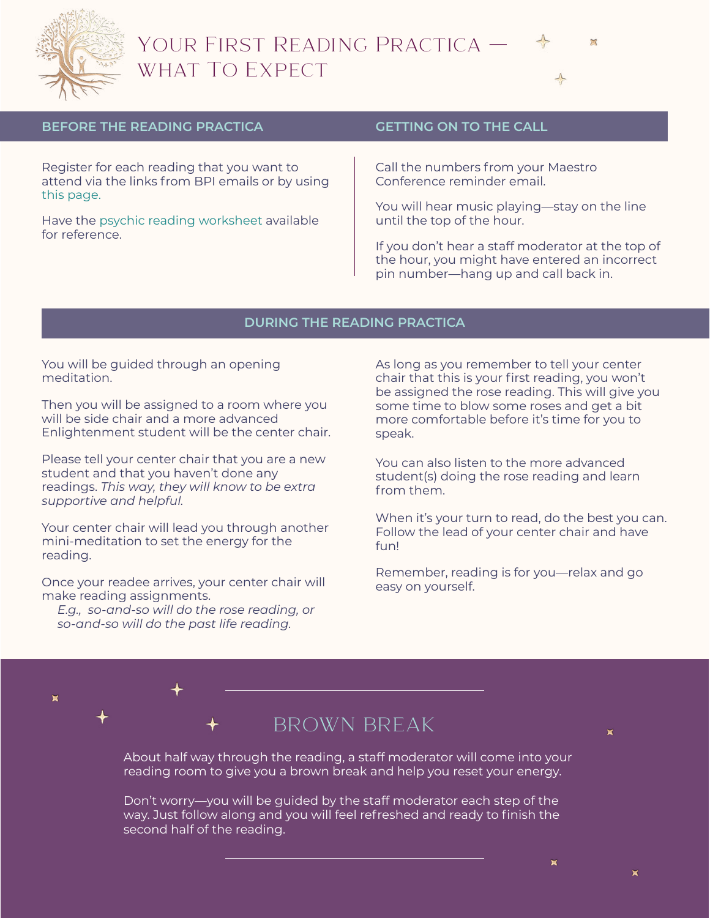

# Your First Reading Practica what To Expect



### **BEFORE THE READING PRACTICA**

Register for each reading that you want to attend via the links from BPI emails or by using [this page.](http://boulderpsychicinstitute.org/updates)

Have the [psychic reading worksheet](http://boulderpsychicinstitute.org/PsychicReadingWorksheetStudentNotes.pdf) available for reference.

### **GETTING ON TO THE CALL**

Call the numbers from your Maestro Conference reminder email.

You will hear music playing—stay on the line until the top of the hour.

If you don't hear a staff moderator at the top of the hour, you might have entered an incorrect pin number—hang up and call back in.

### **DURING THE READING PRACTICA**

You will be guided through an opening meditation.

Then you will be assigned to a room where you will be side chair and a more advanced Enlightenment student will be the center chair.

Please tell your center chair that you are a new student and that you haven't done any readings. *This way, they will know to be extra supportive and helpful.*

Your center chair will lead you through another mini-meditation to set the energy for the reading.

Once your readee arrives, your center chair will make reading assignments.

*E.g., so-and-so will do the rose reading, or so-and-so will do the past life reading.*

 $\blacksquare$ 

As long as you remember to tell your center chair that this is your first reading, you won't be assigned the rose reading. This will give you some time to blow some roses and get a bit more comfortable before it's time for you to speak.

You can also listen to the more advanced student(s) doing the rose reading and learn from them.

When it's your turn to read, do the best you can. Follow the lead of your center chair and have fun!

Remember, reading is for you—relax and go easy on yourself.

## BROWN BREAK

About half way through the reading, a staff moderator will come into your reading room to give you a brown break and help you reset your energy.

Don't worry—you will be guided by the staff moderator each step of the way. Just follow along and you will feel refreshed and ready to finish the second half of the reading.

 $\blacksquare$